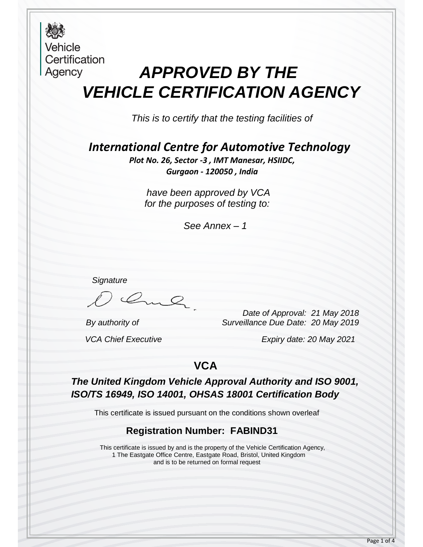**Vehicle** Certification Agency

## *APPROVED BY THE VEHICLE CERTIFICATION AGENCY*

*This is to certify that the testing facilities of*

*International Centre for Automotive Technology*

*Plot No. 26, Sector -3 , IMT Manesar, HSIIDC, Gurgaon - 120050 , India*

*have been approved by VCA for the purposes of testing to:*

*See Annex – 1* 

*Signature*

Oml

 *Date of Approval: 21 May 2018 By authority of Surveillance Due Date: 20 May 2019*

 *VCA Chief Executive Expiry date: 20 May 2021*

### **VCA**

*The United Kingdom Vehicle Approval Authority and ISO 9001, ISO/TS 16949, ISO 14001, OHSAS 18001 Certification Body*

This certificate is issued pursuant on the conditions shown overleaf

#### **Registration Number: FABIND31**

This certificate is issued by and is the property of the Vehicle Certification Agency, 1 The Eastgate Office Centre, Eastgate Road, Bristol, United Kingdom and is to be returned on formal request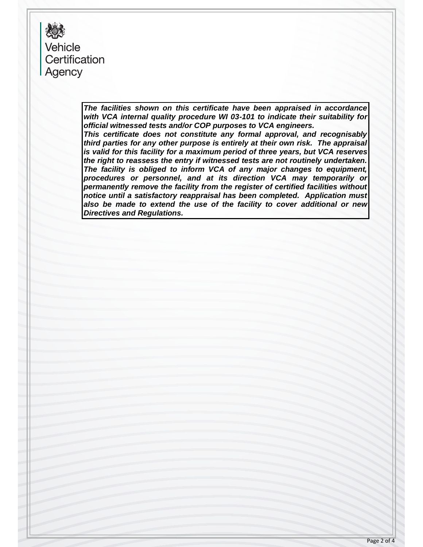樱 Vehicle Certification Agency

> *The facilities shown on this certificate have been appraised in accordance with VCA internal quality procedure WI 03-101 to indicate their suitability for official witnessed tests and/or COP purposes to VCA engineers. This certificate does not constitute any formal approval, and recognisably*

> *third parties for any other purpose is entirely at their own risk. The appraisal is valid for this facility for a maximum period of three years, but VCA reserves the right to reassess the entry if witnessed tests are not routinely undertaken. The facility is obliged to inform VCA of any major changes to equipment, procedures or personnel, and at its direction VCA may temporarily or permanently remove the facility from the register of certified facilities without notice until a satisfactory reappraisal has been completed. Application must also be made to extend the use of the facility to cover additional or new Directives and Regulations.*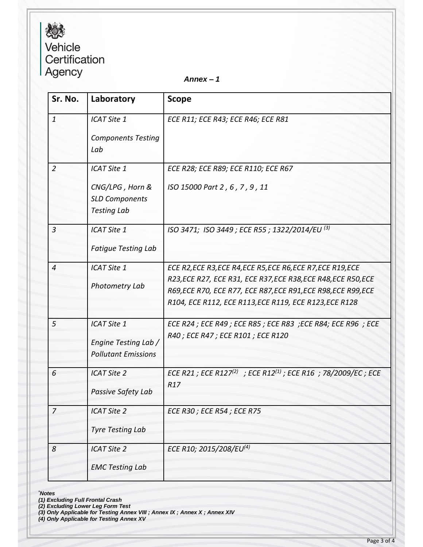# **おいしょうかんてき**<br>
Vehicle<br>
Certification<br>
Agency

*Annex – 1*

| Sr. No.        | Laboratory                                                                           | <b>Scope</b>                                                                                                                                                                                                                                               |
|----------------|--------------------------------------------------------------------------------------|------------------------------------------------------------------------------------------------------------------------------------------------------------------------------------------------------------------------------------------------------------|
| $\mathbf{1}$   | ICAT Site 1<br><b>Components Testing</b><br>Lab                                      | ECE R11; ECE R43; ECE R46; ECE R81                                                                                                                                                                                                                         |
| $\overline{2}$ | <b>ICAT Site 1</b><br>CNG/LPG, Horn &<br><b>SLD Components</b><br><b>Testing Lab</b> | ECE R28; ECE R89; ECE R110; ECE R67<br>ISO 15000 Part 2, 6, 7, 9, 11                                                                                                                                                                                       |
| $\overline{3}$ | <b>ICAT Site 1</b><br><b>Fatigue Testing Lab</b>                                     | ISO 3471; ISO 3449; ECE R55; 1322/2014/EU <sup>(3)</sup>                                                                                                                                                                                                   |
| $\overline{4}$ | ICAT Site 1<br>Photometry Lab                                                        | ECE R2, ECE R3, ECE R4, ECE R5, ECE R6, ECE R7, ECE R19, ECE<br>R23, ECE R27, ECE R31, ECE R37, ECE R38, ECE R48, ECE R50, ECE<br>R69, ECE R70, ECE R77, ECE R87, ECE R91, ECE R98, ECE R99, ECE<br>R104, ECE R112, ECE R113, ECE R119, ECE R123, ECE R128 |
| 5              | ICAT Site 1<br>Engine Testing Lab /<br><b>Pollutant Emissions</b>                    | ECE R24 ; ECE R49 ; ECE R85 ; ECE R83 ; ECE R84; ECE R96 ; ECE<br>R40 ; ECE R47 ; ECE R101 ; ECE R120                                                                                                                                                      |
| 6              | <b>ICAT Site 2</b><br>Passive Safety Lab                                             | ECE R21 ; ECE R127(2) ; ECE R12(1) ; ECE R16 ; 78/2009/EC ; ECE<br>R <sub>17</sub>                                                                                                                                                                         |
| $\overline{7}$ | <b>ICAT Site 2</b><br><b>Tyre Testing Lab</b>                                        | <b>ECE R30; ECE R54; ECE R75</b>                                                                                                                                                                                                                           |
| 8              | <b>ICAT Site 2</b><br><b>EMC Testing Lab</b>                                         | ECE R10; 2015/208/EU(4)                                                                                                                                                                                                                                    |

*\*Notes*

*(1) Excluding Full Frontal Crash*

*(2) Excluding Lower Leg Form Test*

*(3) Only Applicable for Testing Annex VIII ; Annex IX ; Annex X ; Annex XIV*

*(4) Only Applicable for Testing Annex XV*